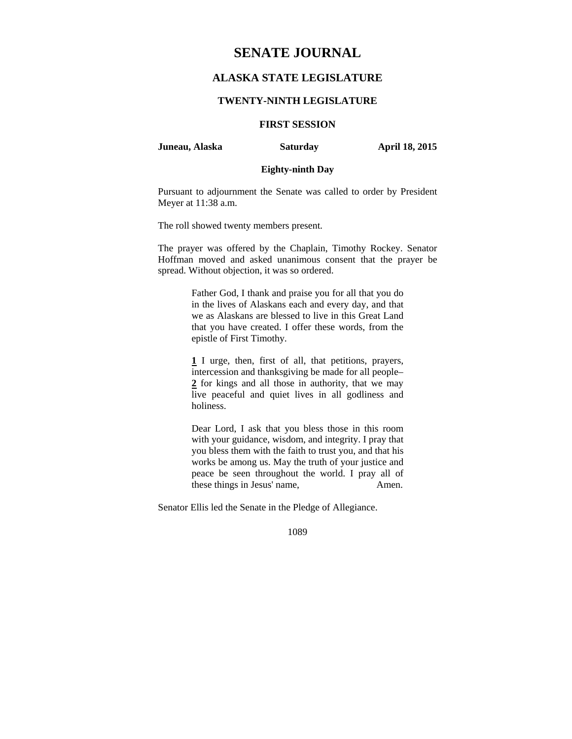## **SENATE JOURNAL**

## **ALASKA STATE LEGISLATURE**

## **TWENTY-NINTH LEGISLATURE**

# **FIRST SESSION**

**Juneau, Alaska Saturday April 18, 2015** 

## **Eighty-ninth Day**

Pursuant to adjournment the Senate was called to order by President Meyer at 11:38 a.m.

The roll showed twenty members present.

The prayer was offered by the Chaplain, Timothy Rockey. Senator Hoffman moved and asked unanimous consent that the prayer be spread. Without objection, it was so ordered.

> Father God, I thank and praise you for all that you do in the lives of Alaskans each and every day, and that we as Alaskans are blessed to live in this Great Land that you have created. I offer these words, from the epistle of First Timothy.

> **1** I urge, then, first of all, that petitions, prayers, intercession and thanksgiving be made for all people– **2** for kings and all those in authority, that we may live peaceful and quiet lives in all godliness and holiness.

> Dear Lord, I ask that you bless those in this room with your guidance, wisdom, and integrity. I pray that you bless them with the faith to trust you, and that his works be among us. May the truth of your justice and peace be seen throughout the world. I pray all of these things in Jesus' name, Amen.

Senator Ellis led the Senate in the Pledge of Allegiance.

1089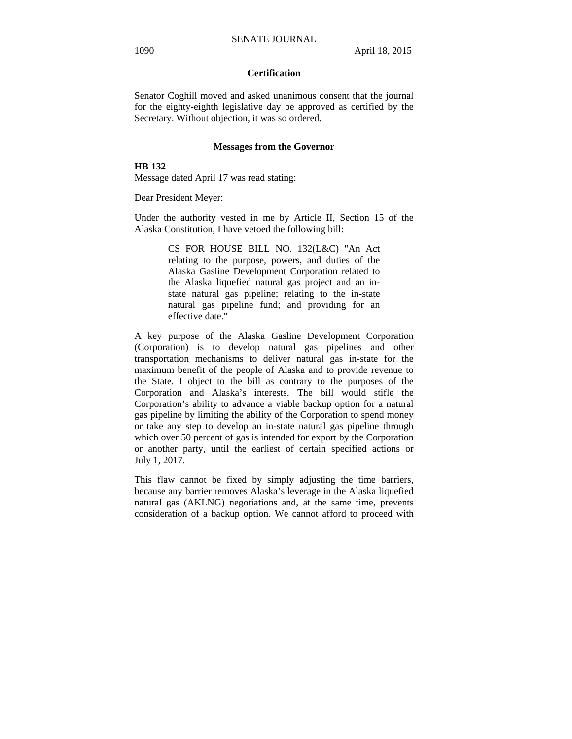## **Certification**

Senator Coghill moved and asked unanimous consent that the journal for the eighty-eighth legislative day be approved as certified by the Secretary. Without objection, it was so ordered.

#### **Messages from the Governor**

## **HB 132**

Message dated April 17 was read stating:

Dear President Meyer:

Under the authority vested in me by Article II, Section 15 of the Alaska Constitution, I have vetoed the following bill:

> CS FOR HOUSE BILL NO. 132(L&C) "An Act relating to the purpose, powers, and duties of the Alaska Gasline Development Corporation related to the Alaska liquefied natural gas project and an instate natural gas pipeline; relating to the in-state natural gas pipeline fund; and providing for an effective date."

A key purpose of the Alaska Gasline Development Corporation (Corporation) is to develop natural gas pipelines and other transportation mechanisms to deliver natural gas in-state for the maximum benefit of the people of Alaska and to provide revenue to the State. I object to the bill as contrary to the purposes of the Corporation and Alaska's interests. The bill would stifle the Corporation's ability to advance a viable backup option for a natural gas pipeline by limiting the ability of the Corporation to spend money or take any step to develop an in-state natural gas pipeline through which over 50 percent of gas is intended for export by the Corporation or another party, until the earliest of certain specified actions or July 1, 2017.

This flaw cannot be fixed by simply adjusting the time barriers, because any barrier removes Alaska's leverage in the Alaska liquefied natural gas (AKLNG) negotiations and, at the same time, prevents consideration of a backup option. We cannot afford to proceed with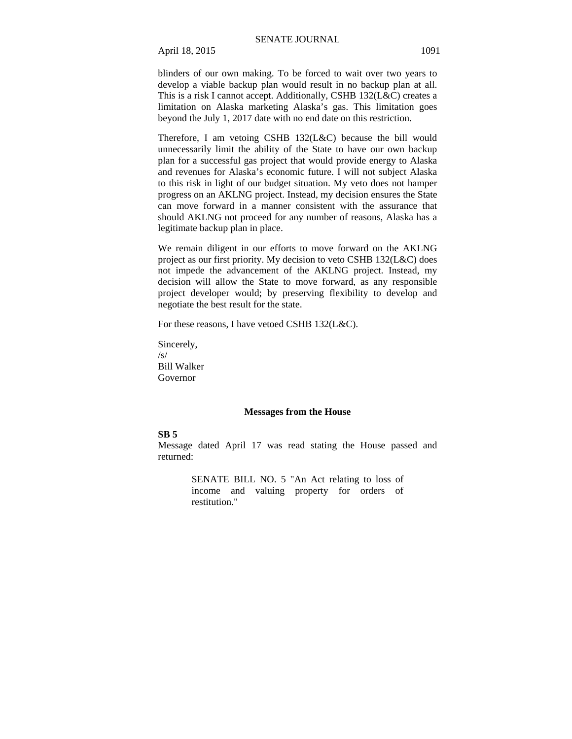blinders of our own making. To be forced to wait over two years to develop a viable backup plan would result in no backup plan at all. This is a risk I cannot accept. Additionally, CSHB 132(L&C) creates a limitation on Alaska marketing Alaska's gas. This limitation goes beyond the July 1, 2017 date with no end date on this restriction.

Therefore, I am vetoing CSHB 132(L&C) because the bill would unnecessarily limit the ability of the State to have our own backup plan for a successful gas project that would provide energy to Alaska and revenues for Alaska's economic future. I will not subject Alaska to this risk in light of our budget situation. My veto does not hamper progress on an AKLNG project. Instead, my decision ensures the State can move forward in a manner consistent with the assurance that should AKLNG not proceed for any number of reasons, Alaska has a legitimate backup plan in place.

We remain diligent in our efforts to move forward on the AKLNG project as our first priority. My decision to veto CSHB 132(L&C) does not impede the advancement of the AKLNG project. Instead, my decision will allow the State to move forward, as any responsible project developer would; by preserving flexibility to develop and negotiate the best result for the state.

For these reasons, I have vetoed CSHB 132(L&C).

Sincerely, /s/ Bill Walker Governor

## **Messages from the House**

## **SB 5**

Message dated April 17 was read stating the House passed and returned:

> SENATE BILL NO. 5 "An Act relating to loss of income and valuing property for orders of restitution."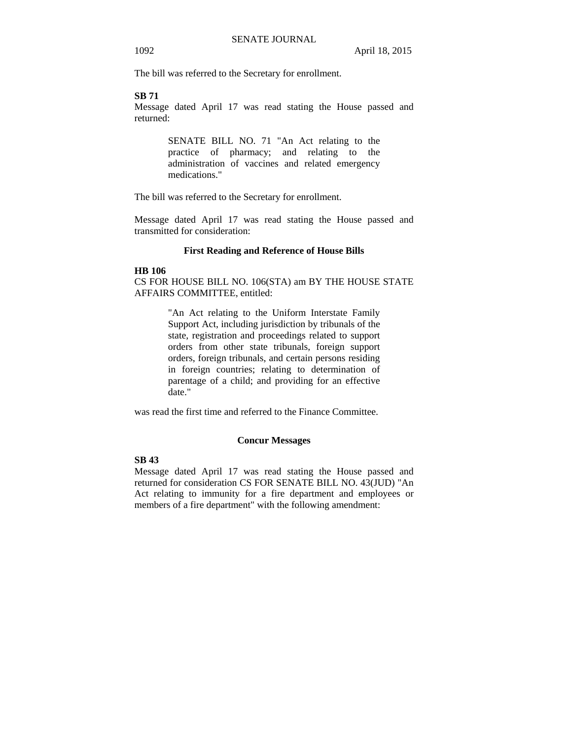The bill was referred to the Secretary for enrollment.

## **SB 71**

Message dated April 17 was read stating the House passed and returned:

> SENATE BILL NO. 71 "An Act relating to the practice of pharmacy; and relating to the administration of vaccines and related emergency medications."

The bill was referred to the Secretary for enrollment.

Message dated April 17 was read stating the House passed and transmitted for consideration:

## **First Reading and Reference of House Bills**

#### **HB 106**

CS FOR HOUSE BILL NO. 106(STA) am BY THE HOUSE STATE AFFAIRS COMMITTEE, entitled:

> "An Act relating to the Uniform Interstate Family Support Act, including jurisdiction by tribunals of the state, registration and proceedings related to support orders from other state tribunals, foreign support orders, foreign tribunals, and certain persons residing in foreign countries; relating to determination of parentage of a child; and providing for an effective date."

was read the first time and referred to the Finance Committee.

## **Concur Messages**

## **SB 43**

Message dated April 17 was read stating the House passed and returned for consideration CS FOR SENATE BILL NO. 43(JUD) "An Act relating to immunity for a fire department and employees or members of a fire department" with the following amendment: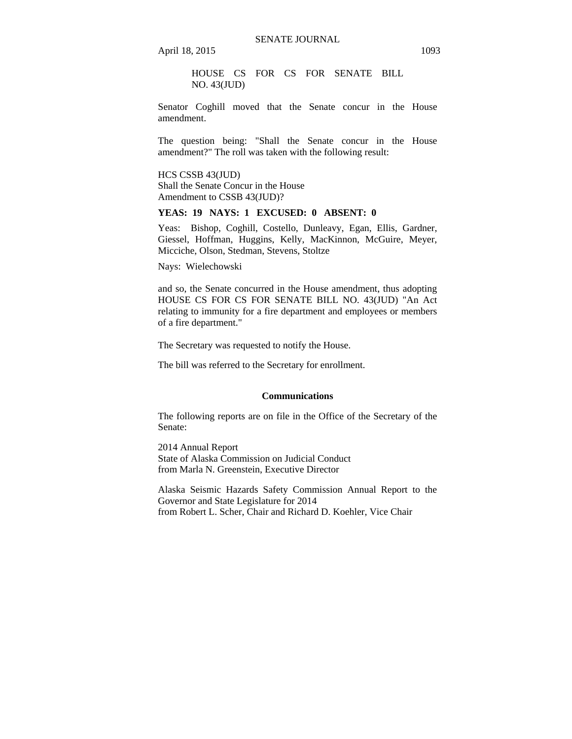HOUSE CS FOR CS FOR SENATE BILL NO. 43(JUD)

Senator Coghill moved that the Senate concur in the House amendment.

The question being: "Shall the Senate concur in the House amendment?" The roll was taken with the following result:

HCS CSSB 43(JUD) Shall the Senate Concur in the House Amendment to CSSB 43(JUD)?

## **YEAS: 19 NAYS: 1 EXCUSED: 0 ABSENT: 0**

Yeas: Bishop, Coghill, Costello, Dunleavy, Egan, Ellis, Gardner, Giessel, Hoffman, Huggins, Kelly, MacKinnon, McGuire, Meyer, Micciche, Olson, Stedman, Stevens, Stoltze

Nays: Wielechowski

and so, the Senate concurred in the House amendment, thus adopting HOUSE CS FOR CS FOR SENATE BILL NO. 43(JUD) "An Act relating to immunity for a fire department and employees or members of a fire department."

The Secretary was requested to notify the House.

The bill was referred to the Secretary for enrollment.

#### **Communications**

The following reports are on file in the Office of the Secretary of the Senate:

2014 Annual Report State of Alaska Commission on Judicial Conduct from Marla N. Greenstein, Executive Director

Alaska Seismic Hazards Safety Commission Annual Report to the Governor and State Legislature for 2014 from Robert L. Scher, Chair and Richard D. Koehler, Vice Chair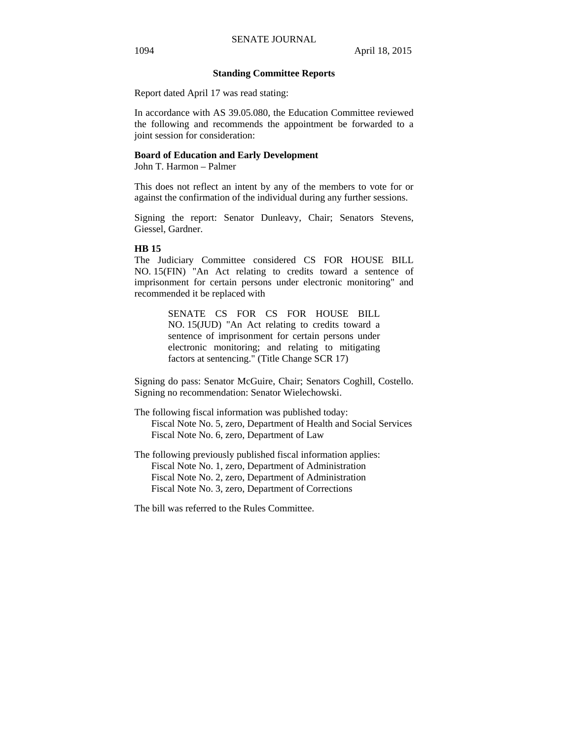## **Standing Committee Reports**

Report dated April 17 was read stating:

In accordance with AS 39.05.080, the Education Committee reviewed the following and recommends the appointment be forwarded to a joint session for consideration:

## **Board of Education and Early Development**

John T. Harmon – Palmer

This does not reflect an intent by any of the members to vote for or against the confirmation of the individual during any further sessions.

Signing the report: Senator Dunleavy, Chair; Senators Stevens, Giessel, Gardner.

#### **HB 15**

The Judiciary Committee considered CS FOR HOUSE BILL NO. 15(FIN) "An Act relating to credits toward a sentence of imprisonment for certain persons under electronic monitoring" and recommended it be replaced with

> SENATE CS FOR CS FOR HOUSE BILL NO. 15(JUD) "An Act relating to credits toward a sentence of imprisonment for certain persons under electronic monitoring; and relating to mitigating factors at sentencing." (Title Change SCR 17)

Signing do pass: Senator McGuire, Chair; Senators Coghill, Costello. Signing no recommendation: Senator Wielechowski.

The following fiscal information was published today: Fiscal Note No. 5, zero, Department of Health and Social Services Fiscal Note No. 6, zero, Department of Law

The following previously published fiscal information applies: Fiscal Note No. 1, zero, Department of Administration Fiscal Note No. 2, zero, Department of Administration Fiscal Note No. 3, zero, Department of Corrections

The bill was referred to the Rules Committee.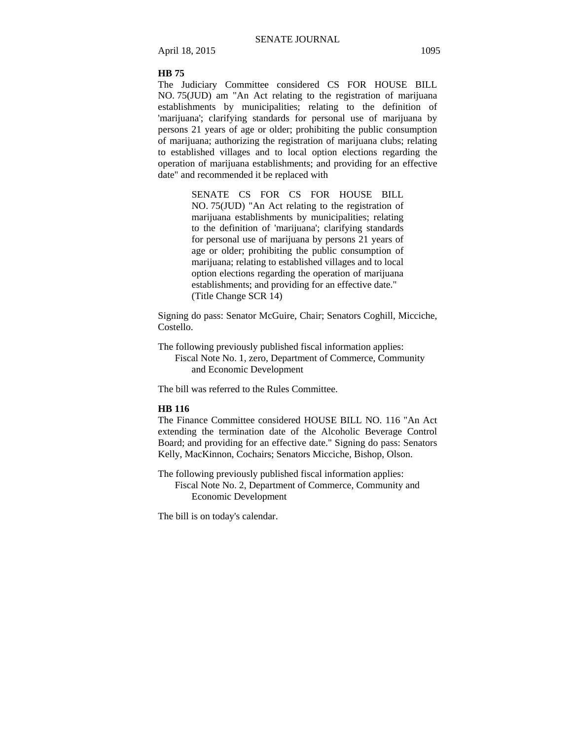## **HB 75**

The Judiciary Committee considered CS FOR HOUSE BILL NO. 75(JUD) am "An Act relating to the registration of marijuana establishments by municipalities; relating to the definition of 'marijuana'; clarifying standards for personal use of marijuana by persons 21 years of age or older; prohibiting the public consumption of marijuana; authorizing the registration of marijuana clubs; relating to established villages and to local option elections regarding the operation of marijuana establishments; and providing for an effective date" and recommended it be replaced with

> SENATE CS FOR CS FOR HOUSE BILL NO. 75(JUD) "An Act relating to the registration of marijuana establishments by municipalities; relating to the definition of 'marijuana'; clarifying standards for personal use of marijuana by persons 21 years of age or older; prohibiting the public consumption of marijuana; relating to established villages and to local option elections regarding the operation of marijuana establishments; and providing for an effective date." (Title Change SCR 14)

Signing do pass: Senator McGuire, Chair; Senators Coghill, Micciche, Costello.

The following previously published fiscal information applies: Fiscal Note No. 1, zero, Department of Commerce, Community and Economic Development

The bill was referred to the Rules Committee.

#### **HB 116**

The Finance Committee considered HOUSE BILL NO. 116 "An Act extending the termination date of the Alcoholic Beverage Control Board; and providing for an effective date." Signing do pass: Senators Kelly, MacKinnon, Cochairs; Senators Micciche, Bishop, Olson.

The following previously published fiscal information applies: Fiscal Note No. 2, Department of Commerce, Community and Economic Development

The bill is on today's calendar.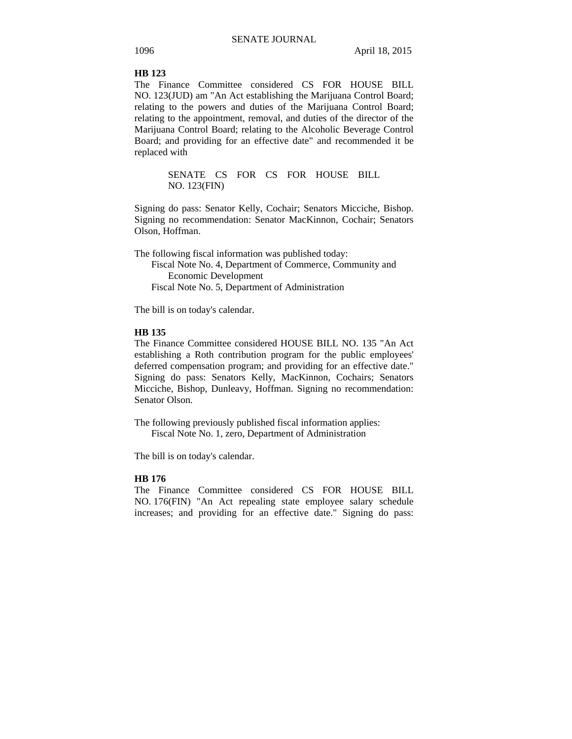## **HB 123**

The Finance Committee considered CS FOR HOUSE BILL NO. 123(JUD) am "An Act establishing the Marijuana Control Board; relating to the powers and duties of the Marijuana Control Board; relating to the appointment, removal, and duties of the director of the Marijuana Control Board; relating to the Alcoholic Beverage Control Board; and providing for an effective date" and recommended it be replaced with

> SENATE CS FOR CS FOR HOUSE BILL NO. 123(FIN)

Signing do pass: Senator Kelly, Cochair; Senators Micciche, Bishop. Signing no recommendation: Senator MacKinnon, Cochair; Senators Olson, Hoffman.

The following fiscal information was published today: Fiscal Note No. 4, Department of Commerce, Community and Economic Development Fiscal Note No. 5, Department of Administration

The bill is on today's calendar.

## **HB 135**

The Finance Committee considered HOUSE BILL NO. 135 "An Act establishing a Roth contribution program for the public employees' deferred compensation program; and providing for an effective date." Signing do pass: Senators Kelly, MacKinnon, Cochairs; Senators Micciche, Bishop, Dunleavy, Hoffman. Signing no recommendation: Senator Olson.

The following previously published fiscal information applies: Fiscal Note No. 1, zero, Department of Administration

The bill is on today's calendar.

## **HB 176**

The Finance Committee considered CS FOR HOUSE BILL NO. 176(FIN) "An Act repealing state employee salary schedule increases; and providing for an effective date." Signing do pass: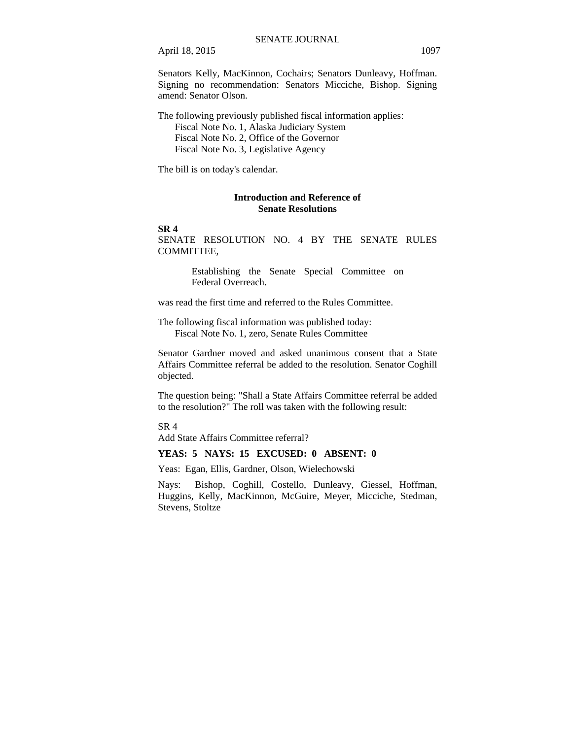Senators Kelly, MacKinnon, Cochairs; Senators Dunleavy, Hoffman. Signing no recommendation: Senators Micciche, Bishop. Signing amend: Senator Olson.

The following previously published fiscal information applies: Fiscal Note No. 1, Alaska Judiciary System Fiscal Note No. 2, Office of the Governor Fiscal Note No. 3, Legislative Agency

The bill is on today's calendar.

## **Introduction and Reference of Senate Resolutions**

## **SR 4**

SENATE RESOLUTION NO. 4 BY THE SENATE RULES COMMITTEE,

> Establishing the Senate Special Committee on Federal Overreach.

was read the first time and referred to the Rules Committee.

The following fiscal information was published today: Fiscal Note No. 1, zero, Senate Rules Committee

Senator Gardner moved and asked unanimous consent that a State Affairs Committee referral be added to the resolution. Senator Coghill objected.

The question being: "Shall a State Affairs Committee referral be added to the resolution?" The roll was taken with the following result:

SR 4

Add State Affairs Committee referral?

## **YEAS: 5 NAYS: 15 EXCUSED: 0 ABSENT: 0**

Yeas: Egan, Ellis, Gardner, Olson, Wielechowski

Nays: Bishop, Coghill, Costello, Dunleavy, Giessel, Hoffman, Huggins, Kelly, MacKinnon, McGuire, Meyer, Micciche, Stedman, Stevens, Stoltze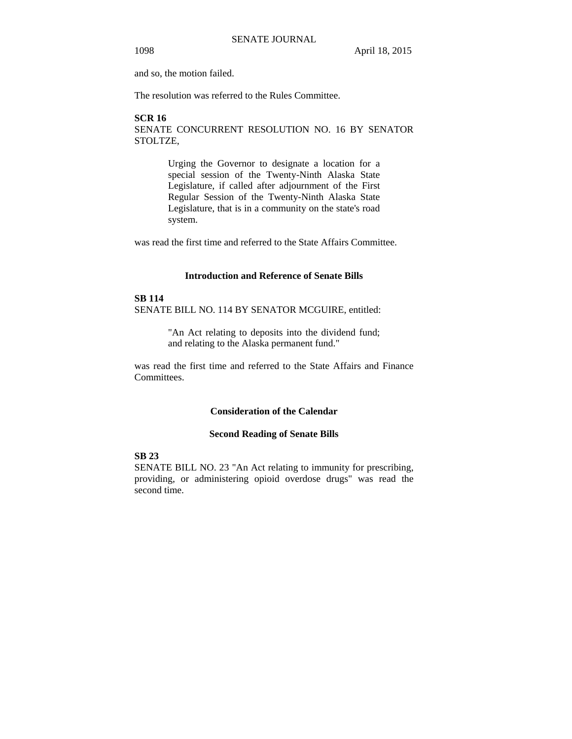and so, the motion failed.

The resolution was referred to the Rules Committee.

## **SCR 16**

SENATE CONCURRENT RESOLUTION NO. 16 BY SENATOR STOLTZE,

> Urging the Governor to designate a location for a special session of the Twenty-Ninth Alaska State Legislature, if called after adjournment of the First Regular Session of the Twenty-Ninth Alaska State Legislature, that is in a community on the state's road system.

was read the first time and referred to the State Affairs Committee.

## **Introduction and Reference of Senate Bills**

## **SB 114** SENATE BILL NO. 114 BY SENATOR MCGUIRE, entitled:

"An Act relating to deposits into the dividend fund; and relating to the Alaska permanent fund."

was read the first time and referred to the State Affairs and Finance Committees.

## **Consideration of the Calendar**

### **Second Reading of Senate Bills**

## **SB 23**

SENATE BILL NO. 23 "An Act relating to immunity for prescribing, providing, or administering opioid overdose drugs" was read the second time.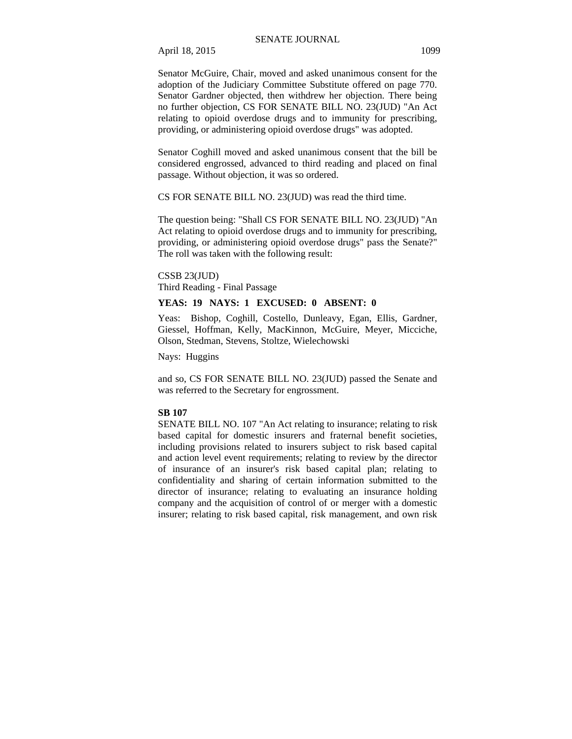Senator McGuire, Chair, moved and asked unanimous consent for the adoption of the Judiciary Committee Substitute offered on page 770. Senator Gardner objected, then withdrew her objection. There being no further objection, CS FOR SENATE BILL NO. 23(JUD) "An Act relating to opioid overdose drugs and to immunity for prescribing, providing, or administering opioid overdose drugs" was adopted.

Senator Coghill moved and asked unanimous consent that the bill be considered engrossed, advanced to third reading and placed on final passage. Without objection, it was so ordered.

CS FOR SENATE BILL NO. 23(JUD) was read the third time.

The question being: "Shall CS FOR SENATE BILL NO. 23(JUD) "An Act relating to opioid overdose drugs and to immunity for prescribing, providing, or administering opioid overdose drugs" pass the Senate?" The roll was taken with the following result:

#### CSSB 23(JUD)

Third Reading - Final Passage

## **YEAS: 19 NAYS: 1 EXCUSED: 0 ABSENT: 0**

Yeas: Bishop, Coghill, Costello, Dunleavy, Egan, Ellis, Gardner, Giessel, Hoffman, Kelly, MacKinnon, McGuire, Meyer, Micciche, Olson, Stedman, Stevens, Stoltze, Wielechowski

Nays: Huggins

and so, CS FOR SENATE BILL NO. 23(JUD) passed the Senate and was referred to the Secretary for engrossment.

#### **SB 107**

SENATE BILL NO. 107 "An Act relating to insurance; relating to risk based capital for domestic insurers and fraternal benefit societies, including provisions related to insurers subject to risk based capital and action level event requirements; relating to review by the director of insurance of an insurer's risk based capital plan; relating to confidentiality and sharing of certain information submitted to the director of insurance; relating to evaluating an insurance holding company and the acquisition of control of or merger with a domestic insurer; relating to risk based capital, risk management, and own risk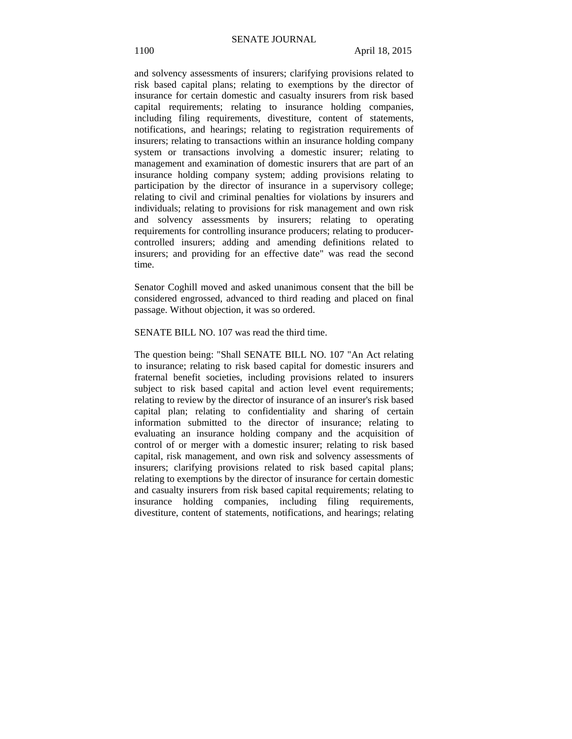and solvency assessments of insurers; clarifying provisions related to risk based capital plans; relating to exemptions by the director of insurance for certain domestic and casualty insurers from risk based capital requirements; relating to insurance holding companies, including filing requirements, divestiture, content of statements, notifications, and hearings; relating to registration requirements of insurers; relating to transactions within an insurance holding company system or transactions involving a domestic insurer; relating to management and examination of domestic insurers that are part of an insurance holding company system; adding provisions relating to participation by the director of insurance in a supervisory college; relating to civil and criminal penalties for violations by insurers and individuals; relating to provisions for risk management and own risk and solvency assessments by insurers; relating to operating requirements for controlling insurance producers; relating to producercontrolled insurers; adding and amending definitions related to insurers; and providing for an effective date" was read the second time.

Senator Coghill moved and asked unanimous consent that the bill be considered engrossed, advanced to third reading and placed on final passage. Without objection, it was so ordered.

SENATE BILL NO. 107 was read the third time.

The question being: "Shall SENATE BILL NO. 107 "An Act relating to insurance; relating to risk based capital for domestic insurers and fraternal benefit societies, including provisions related to insurers subject to risk based capital and action level event requirements; relating to review by the director of insurance of an insurer's risk based capital plan; relating to confidentiality and sharing of certain information submitted to the director of insurance; relating to evaluating an insurance holding company and the acquisition of control of or merger with a domestic insurer; relating to risk based capital, risk management, and own risk and solvency assessments of insurers; clarifying provisions related to risk based capital plans; relating to exemptions by the director of insurance for certain domestic and casualty insurers from risk based capital requirements; relating to insurance holding companies, including filing requirements, divestiture, content of statements, notifications, and hearings; relating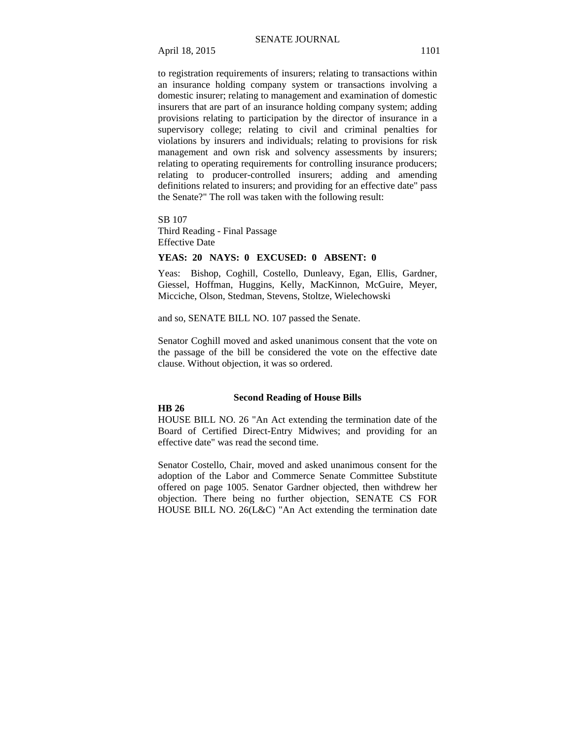to registration requirements of insurers; relating to transactions within an insurance holding company system or transactions involving a domestic insurer; relating to management and examination of domestic insurers that are part of an insurance holding company system; adding provisions relating to participation by the director of insurance in a supervisory college; relating to civil and criminal penalties for violations by insurers and individuals; relating to provisions for risk management and own risk and solvency assessments by insurers; relating to operating requirements for controlling insurance producers; relating to producer-controlled insurers; adding and amending definitions related to insurers; and providing for an effective date" pass the Senate?" The roll was taken with the following result:

SB 107 Third Reading - Final Passage Effective Date

## **YEAS: 20 NAYS: 0 EXCUSED: 0 ABSENT: 0**

Yeas: Bishop, Coghill, Costello, Dunleavy, Egan, Ellis, Gardner, Giessel, Hoffman, Huggins, Kelly, MacKinnon, McGuire, Meyer, Micciche, Olson, Stedman, Stevens, Stoltze, Wielechowski

and so, SENATE BILL NO. 107 passed the Senate.

Senator Coghill moved and asked unanimous consent that the vote on the passage of the bill be considered the vote on the effective date clause. Without objection, it was so ordered.

## **Second Reading of House Bills**

#### **HB 26**

HOUSE BILL NO. 26 "An Act extending the termination date of the Board of Certified Direct-Entry Midwives; and providing for an effective date" was read the second time.

Senator Costello, Chair, moved and asked unanimous consent for the adoption of the Labor and Commerce Senate Committee Substitute offered on page 1005. Senator Gardner objected, then withdrew her objection. There being no further objection, SENATE CS FOR HOUSE BILL NO. 26(L&C) "An Act extending the termination date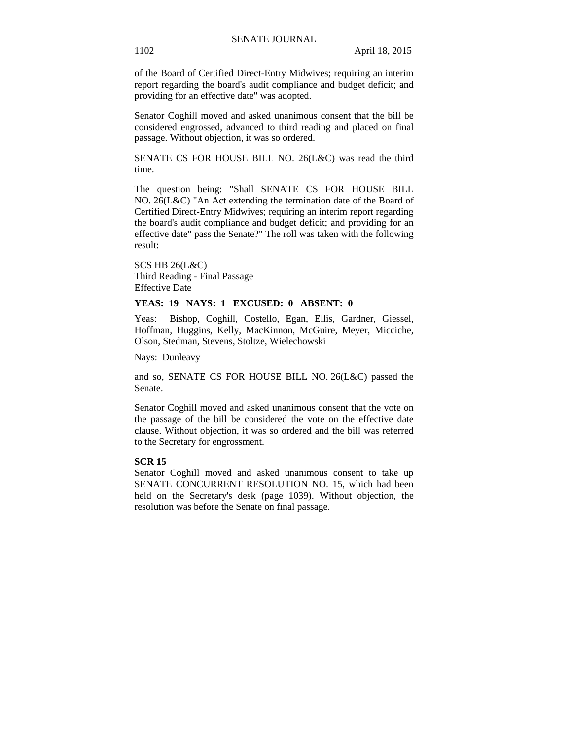of the Board of Certified Direct-Entry Midwives; requiring an interim report regarding the board's audit compliance and budget deficit; and providing for an effective date" was adopted.

Senator Coghill moved and asked unanimous consent that the bill be considered engrossed, advanced to third reading and placed on final passage. Without objection, it was so ordered.

SENATE CS FOR HOUSE BILL NO. 26(L&C) was read the third time.

The question being: "Shall SENATE CS FOR HOUSE BILL NO. 26(L&C) "An Act extending the termination date of the Board of Certified Direct-Entry Midwives; requiring an interim report regarding the board's audit compliance and budget deficit; and providing for an effective date" pass the Senate?" The roll was taken with the following result:

SCS HB 26(L&C) Third Reading - Final Passage Effective Date

## **YEAS: 19 NAYS: 1 EXCUSED: 0 ABSENT: 0**

Yeas: Bishop, Coghill, Costello, Egan, Ellis, Gardner, Giessel, Hoffman, Huggins, Kelly, MacKinnon, McGuire, Meyer, Micciche, Olson, Stedman, Stevens, Stoltze, Wielechowski

Nays: Dunleavy

and so, SENATE CS FOR HOUSE BILL NO. 26(L&C) passed the Senate.

Senator Coghill moved and asked unanimous consent that the vote on the passage of the bill be considered the vote on the effective date clause. Without objection, it was so ordered and the bill was referred to the Secretary for engrossment.

## **SCR 15**

Senator Coghill moved and asked unanimous consent to take up SENATE CONCURRENT RESOLUTION NO. 15, which had been held on the Secretary's desk (page 1039). Without objection, the resolution was before the Senate on final passage.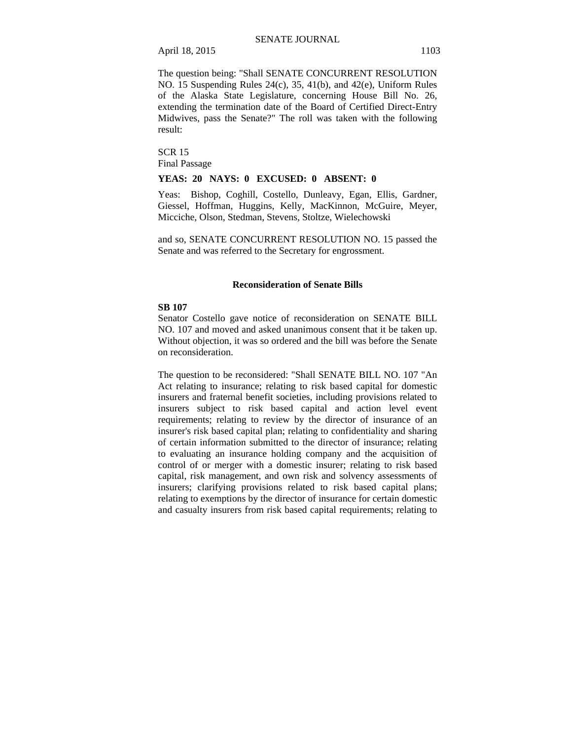The question being: "Shall SENATE CONCURRENT RESOLUTION NO. 15 Suspending Rules 24(c), 35, 41(b), and 42(e), Uniform Rules of the Alaska State Legislature, concerning House Bill No. 26, extending the termination date of the Board of Certified Direct-Entry Midwives, pass the Senate?" The roll was taken with the following result:

SCR 15 Final Passage

## **YEAS: 20 NAYS: 0 EXCUSED: 0 ABSENT: 0**

Yeas: Bishop, Coghill, Costello, Dunleavy, Egan, Ellis, Gardner, Giessel, Hoffman, Huggins, Kelly, MacKinnon, McGuire, Meyer, Micciche, Olson, Stedman, Stevens, Stoltze, Wielechowski

and so, SENATE CONCURRENT RESOLUTION NO. 15 passed the Senate and was referred to the Secretary for engrossment.

## **Reconsideration of Senate Bills**

## **SB 107**

Senator Costello gave notice of reconsideration on SENATE BILL NO. 107 and moved and asked unanimous consent that it be taken up. Without objection, it was so ordered and the bill was before the Senate on reconsideration.

The question to be reconsidered: "Shall SENATE BILL NO. 107 "An Act relating to insurance; relating to risk based capital for domestic insurers and fraternal benefit societies, including provisions related to insurers subject to risk based capital and action level event requirements; relating to review by the director of insurance of an insurer's risk based capital plan; relating to confidentiality and sharing of certain information submitted to the director of insurance; relating to evaluating an insurance holding company and the acquisition of control of or merger with a domestic insurer; relating to risk based capital, risk management, and own risk and solvency assessments of insurers; clarifying provisions related to risk based capital plans; relating to exemptions by the director of insurance for certain domestic and casualty insurers from risk based capital requirements; relating to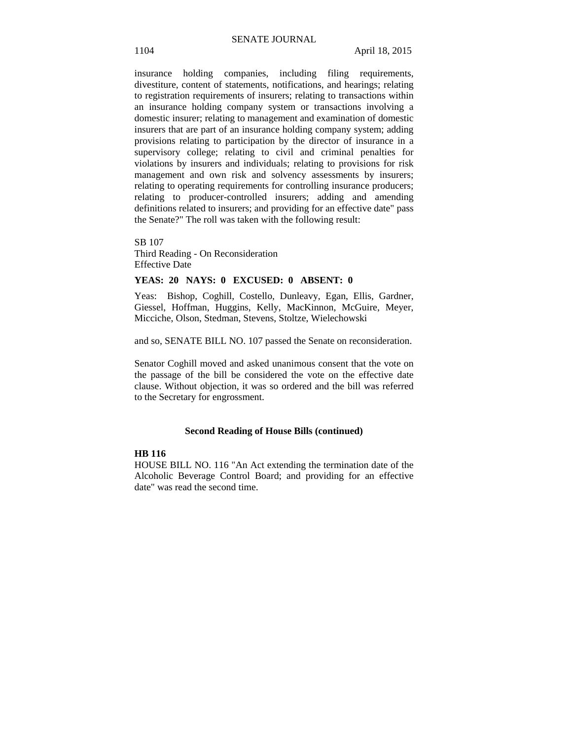insurance holding companies, including filing requirements, divestiture, content of statements, notifications, and hearings; relating to registration requirements of insurers; relating to transactions within an insurance holding company system or transactions involving a domestic insurer; relating to management and examination of domestic insurers that are part of an insurance holding company system; adding provisions relating to participation by the director of insurance in a supervisory college; relating to civil and criminal penalties for violations by insurers and individuals; relating to provisions for risk management and own risk and solvency assessments by insurers; relating to operating requirements for controlling insurance producers; relating to producer-controlled insurers; adding and amending definitions related to insurers; and providing for an effective date" pass the Senate?" The roll was taken with the following result:

SB 107 Third Reading - On Reconsideration Effective Date

## **YEAS: 20 NAYS: 0 EXCUSED: 0 ABSENT: 0**

Yeas: Bishop, Coghill, Costello, Dunleavy, Egan, Ellis, Gardner, Giessel, Hoffman, Huggins, Kelly, MacKinnon, McGuire, Meyer, Micciche, Olson, Stedman, Stevens, Stoltze, Wielechowski

and so, SENATE BILL NO. 107 passed the Senate on reconsideration.

Senator Coghill moved and asked unanimous consent that the vote on the passage of the bill be considered the vote on the effective date clause. Without objection, it was so ordered and the bill was referred to the Secretary for engrossment.

## **Second Reading of House Bills (continued)**

#### **HB 116**

HOUSE BILL NO. 116 "An Act extending the termination date of the Alcoholic Beverage Control Board; and providing for an effective date" was read the second time.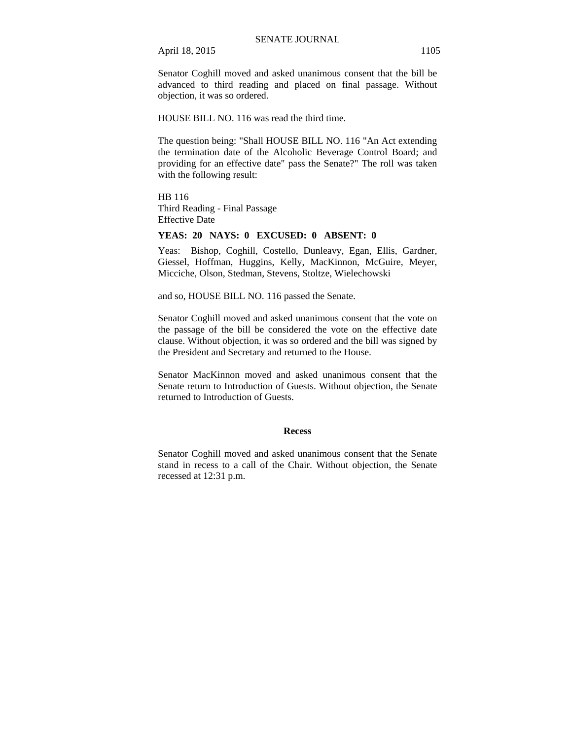Senator Coghill moved and asked unanimous consent that the bill be advanced to third reading and placed on final passage. Without objection, it was so ordered.

HOUSE BILL NO. 116 was read the third time.

The question being: "Shall HOUSE BILL NO. 116 "An Act extending the termination date of the Alcoholic Beverage Control Board; and providing for an effective date" pass the Senate?" The roll was taken with the following result:

HB 116 Third Reading - Final Passage Effective Date

## **YEAS: 20 NAYS: 0 EXCUSED: 0 ABSENT: 0**

Yeas: Bishop, Coghill, Costello, Dunleavy, Egan, Ellis, Gardner, Giessel, Hoffman, Huggins, Kelly, MacKinnon, McGuire, Meyer, Micciche, Olson, Stedman, Stevens, Stoltze, Wielechowski

and so, HOUSE BILL NO. 116 passed the Senate.

Senator Coghill moved and asked unanimous consent that the vote on the passage of the bill be considered the vote on the effective date clause. Without objection, it was so ordered and the bill was signed by the President and Secretary and returned to the House.

Senator MacKinnon moved and asked unanimous consent that the Senate return to Introduction of Guests. Without objection, the Senate returned to Introduction of Guests.

## **Recess**

Senator Coghill moved and asked unanimous consent that the Senate stand in recess to a call of the Chair. Without objection, the Senate recessed at 12:31 p.m.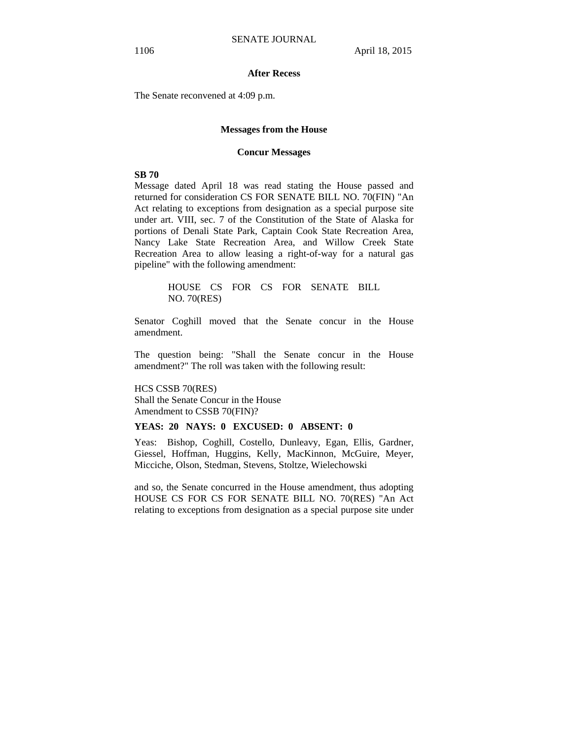## **After Recess**

The Senate reconvened at 4:09 p.m.

#### **Messages from the House**

#### **Concur Messages**

## **SB 70**

Message dated April 18 was read stating the House passed and returned for consideration CS FOR SENATE BILL NO. 70(FIN) "An Act relating to exceptions from designation as a special purpose site under art. VIII, sec. 7 of the Constitution of the State of Alaska for portions of Denali State Park, Captain Cook State Recreation Area, Nancy Lake State Recreation Area, and Willow Creek State Recreation Area to allow leasing a right-of-way for a natural gas pipeline" with the following amendment:

> HOUSE CS FOR CS FOR SENATE BILL NO. 70(RES)

Senator Coghill moved that the Senate concur in the House amendment.

The question being: "Shall the Senate concur in the House amendment?" The roll was taken with the following result:

HCS CSSB 70(RES) Shall the Senate Concur in the House Amendment to CSSB 70(FIN)?

## **YEAS: 20 NAYS: 0 EXCUSED: 0 ABSENT: 0**

Yeas: Bishop, Coghill, Costello, Dunleavy, Egan, Ellis, Gardner, Giessel, Hoffman, Huggins, Kelly, MacKinnon, McGuire, Meyer, Micciche, Olson, Stedman, Stevens, Stoltze, Wielechowski

and so, the Senate concurred in the House amendment, thus adopting HOUSE CS FOR CS FOR SENATE BILL NO. 70(RES) "An Act relating to exceptions from designation as a special purpose site under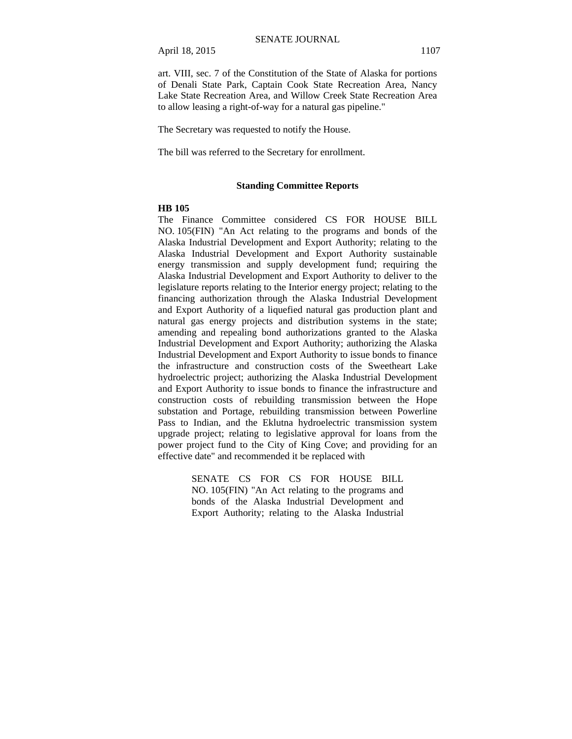art. VIII, sec. 7 of the Constitution of the State of Alaska for portions of Denali State Park, Captain Cook State Recreation Area, Nancy Lake State Recreation Area, and Willow Creek State Recreation Area to allow leasing a right-of-way for a natural gas pipeline."

The Secretary was requested to notify the House.

The bill was referred to the Secretary for enrollment.

### **Standing Committee Reports**

#### **HB 105**

The Finance Committee considered CS FOR HOUSE BILL NO. 105(FIN) "An Act relating to the programs and bonds of the Alaska Industrial Development and Export Authority; relating to the Alaska Industrial Development and Export Authority sustainable energy transmission and supply development fund; requiring the Alaska Industrial Development and Export Authority to deliver to the legislature reports relating to the Interior energy project; relating to the financing authorization through the Alaska Industrial Development and Export Authority of a liquefied natural gas production plant and natural gas energy projects and distribution systems in the state; amending and repealing bond authorizations granted to the Alaska Industrial Development and Export Authority; authorizing the Alaska Industrial Development and Export Authority to issue bonds to finance the infrastructure and construction costs of the Sweetheart Lake hydroelectric project; authorizing the Alaska Industrial Development and Export Authority to issue bonds to finance the infrastructure and construction costs of rebuilding transmission between the Hope substation and Portage, rebuilding transmission between Powerline Pass to Indian, and the Eklutna hydroelectric transmission system upgrade project; relating to legislative approval for loans from the power project fund to the City of King Cove; and providing for an effective date" and recommended it be replaced with

> SENATE CS FOR CS FOR HOUSE BILL NO. 105(FIN) "An Act relating to the programs and bonds of the Alaska Industrial Development and Export Authority; relating to the Alaska Industrial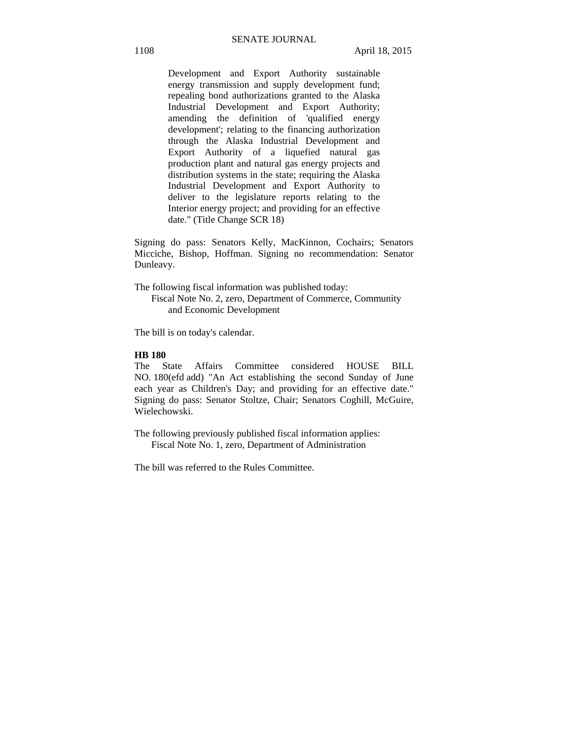Development and Export Authority sustainable energy transmission and supply development fund; repealing bond authorizations granted to the Alaska Industrial Development and Export Authority; amending the definition of 'qualified energy development'; relating to the financing authorization through the Alaska Industrial Development and Export Authority of a liquefied natural gas production plant and natural gas energy projects and distribution systems in the state; requiring the Alaska Industrial Development and Export Authority to deliver to the legislature reports relating to the Interior energy project; and providing for an effective date." (Title Change SCR 18)

Signing do pass: Senators Kelly, MacKinnon, Cochairs; Senators Micciche, Bishop, Hoffman. Signing no recommendation: Senator Dunleavy.

The following fiscal information was published today:

Fiscal Note No. 2, zero, Department of Commerce, Community and Economic Development

The bill is on today's calendar.

## **HB 180**

The State Affairs Committee considered HOUSE BILL NO. 180(efd add) "An Act establishing the second Sunday of June each year as Children's Day; and providing for an effective date." Signing do pass: Senator Stoltze, Chair; Senators Coghill, McGuire, Wielechowski.

The following previously published fiscal information applies: Fiscal Note No. 1, zero, Department of Administration

The bill was referred to the Rules Committee.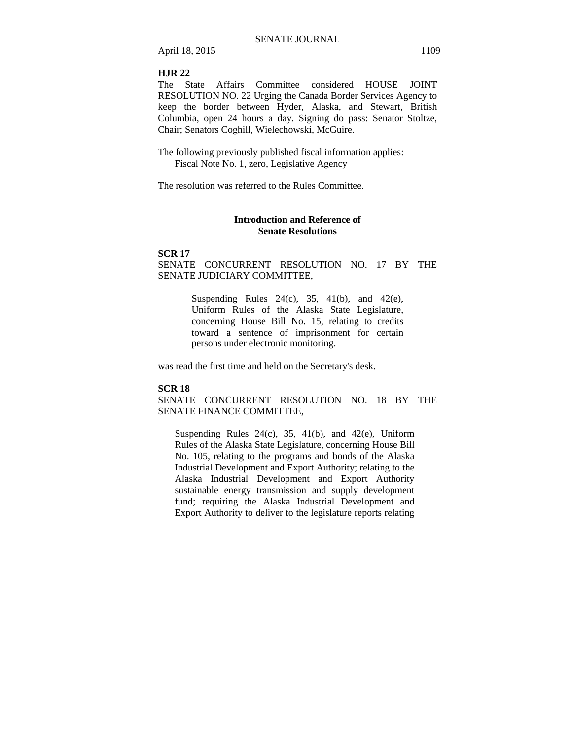## **HJR 22**

The State Affairs Committee considered HOUSE JOINT RESOLUTION NO. 22 Urging the Canada Border Services Agency to keep the border between Hyder, Alaska, and Stewart, British Columbia, open 24 hours a day. Signing do pass: Senator Stoltze, Chair; Senators Coghill, Wielechowski, McGuire.

The following previously published fiscal information applies: Fiscal Note No. 1, zero, Legislative Agency

The resolution was referred to the Rules Committee.

## **Introduction and Reference of Senate Resolutions**

#### **SCR 17**

SENATE CONCURRENT RESOLUTION NO. 17 BY THE SENATE JUDICIARY COMMITTEE,

> Suspending Rules  $24(c)$ ,  $35$ ,  $41(b)$ , and  $42(e)$ , Uniform Rules of the Alaska State Legislature, concerning House Bill No. 15, relating to credits toward a sentence of imprisonment for certain persons under electronic monitoring.

was read the first time and held on the Secretary's desk.

## **SCR 18**

SENATE CONCURRENT RESOLUTION NO. 18 BY THE SENATE FINANCE COMMITTEE,

Suspending Rules  $24(c)$ , 35, 41(b), and 42(e), Uniform Rules of the Alaska State Legislature, concerning House Bill No. 105, relating to the programs and bonds of the Alaska Industrial Development and Export Authority; relating to the Alaska Industrial Development and Export Authority sustainable energy transmission and supply development fund; requiring the Alaska Industrial Development and Export Authority to deliver to the legislature reports relating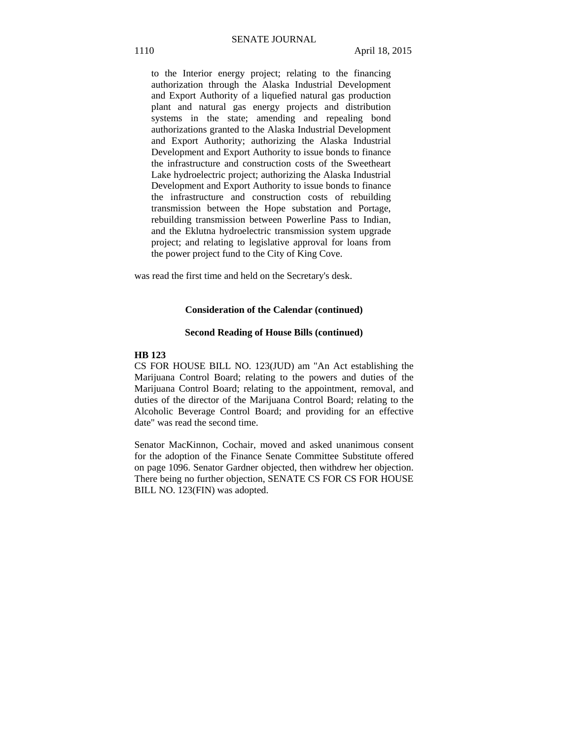to the Interior energy project; relating to the financing authorization through the Alaska Industrial Development and Export Authority of a liquefied natural gas production plant and natural gas energy projects and distribution systems in the state; amending and repealing bond authorizations granted to the Alaska Industrial Development and Export Authority; authorizing the Alaska Industrial Development and Export Authority to issue bonds to finance the infrastructure and construction costs of the Sweetheart Lake hydroelectric project; authorizing the Alaska Industrial Development and Export Authority to issue bonds to finance the infrastructure and construction costs of rebuilding transmission between the Hope substation and Portage, rebuilding transmission between Powerline Pass to Indian, and the Eklutna hydroelectric transmission system upgrade project; and relating to legislative approval for loans from the power project fund to the City of King Cove.

was read the first time and held on the Secretary's desk.

## **Consideration of the Calendar (continued)**

#### **Second Reading of House Bills (continued)**

## **HB 123**

CS FOR HOUSE BILL NO. 123(JUD) am "An Act establishing the Marijuana Control Board; relating to the powers and duties of the Marijuana Control Board; relating to the appointment, removal, and duties of the director of the Marijuana Control Board; relating to the Alcoholic Beverage Control Board; and providing for an effective date" was read the second time.

Senator MacKinnon, Cochair, moved and asked unanimous consent for the adoption of the Finance Senate Committee Substitute offered on page 1096. Senator Gardner objected, then withdrew her objection. There being no further objection, SENATE CS FOR CS FOR HOUSE BILL NO. 123(FIN) was adopted.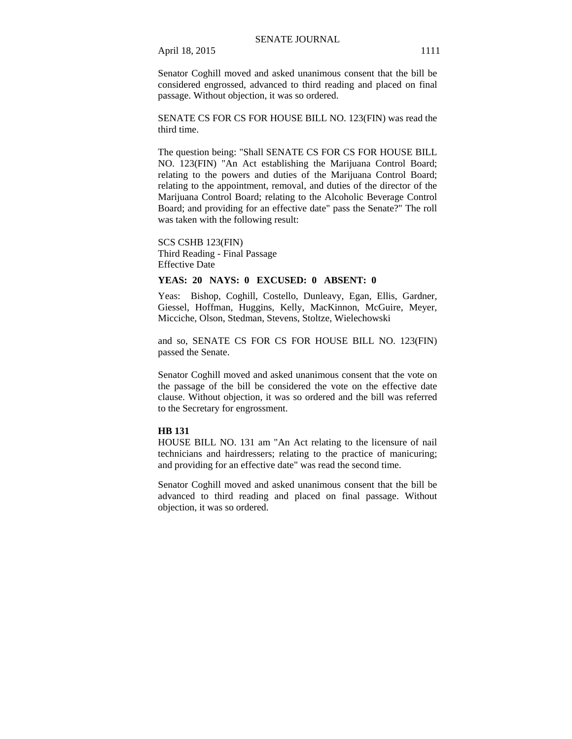Senator Coghill moved and asked unanimous consent that the bill be considered engrossed, advanced to third reading and placed on final passage. Without objection, it was so ordered.

SENATE CS FOR CS FOR HOUSE BILL NO. 123(FIN) was read the third time.

The question being: "Shall SENATE CS FOR CS FOR HOUSE BILL NO. 123(FIN) "An Act establishing the Marijuana Control Board; relating to the powers and duties of the Marijuana Control Board; relating to the appointment, removal, and duties of the director of the Marijuana Control Board; relating to the Alcoholic Beverage Control Board; and providing for an effective date" pass the Senate?" The roll was taken with the following result:

SCS CSHB 123(FIN) Third Reading - Final Passage Effective Date

## **YEAS: 20 NAYS: 0 EXCUSED: 0 ABSENT: 0**

Yeas: Bishop, Coghill, Costello, Dunleavy, Egan, Ellis, Gardner, Giessel, Hoffman, Huggins, Kelly, MacKinnon, McGuire, Meyer, Micciche, Olson, Stedman, Stevens, Stoltze, Wielechowski

and so, SENATE CS FOR CS FOR HOUSE BILL NO. 123(FIN) passed the Senate.

Senator Coghill moved and asked unanimous consent that the vote on the passage of the bill be considered the vote on the effective date clause. Without objection, it was so ordered and the bill was referred to the Secretary for engrossment.

## **HB 131**

HOUSE BILL NO. 131 am "An Act relating to the licensure of nail technicians and hairdressers; relating to the practice of manicuring; and providing for an effective date" was read the second time.

Senator Coghill moved and asked unanimous consent that the bill be advanced to third reading and placed on final passage. Without objection, it was so ordered.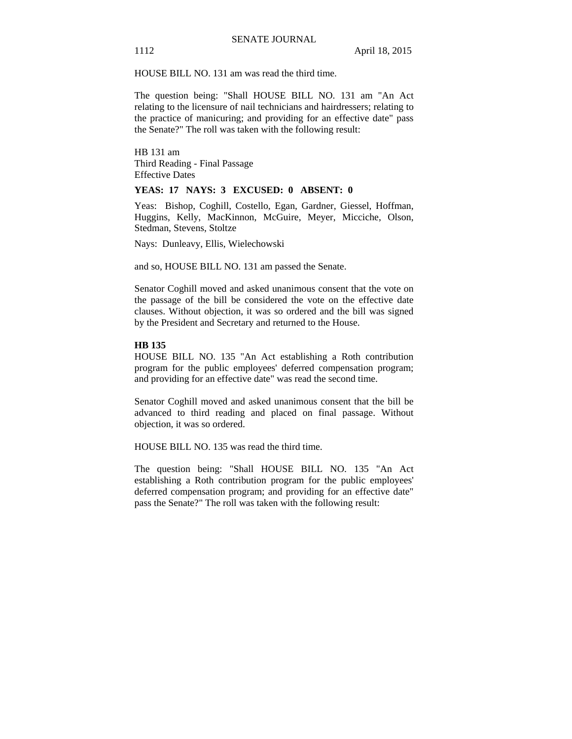HOUSE BILL NO. 131 am was read the third time.

The question being: "Shall HOUSE BILL NO. 131 am "An Act relating to the licensure of nail technicians and hairdressers; relating to the practice of manicuring; and providing for an effective date" pass the Senate?" The roll was taken with the following result:

HB 131 am Third Reading - Final Passage Effective Dates

## **YEAS: 17 NAYS: 3 EXCUSED: 0 ABSENT: 0**

Yeas: Bishop, Coghill, Costello, Egan, Gardner, Giessel, Hoffman, Huggins, Kelly, MacKinnon, McGuire, Meyer, Micciche, Olson, Stedman, Stevens, Stoltze

Nays: Dunleavy, Ellis, Wielechowski

and so, HOUSE BILL NO. 131 am passed the Senate.

Senator Coghill moved and asked unanimous consent that the vote on the passage of the bill be considered the vote on the effective date clauses. Without objection, it was so ordered and the bill was signed by the President and Secretary and returned to the House.

## **HB 135**

HOUSE BILL NO. 135 "An Act establishing a Roth contribution program for the public employees' deferred compensation program; and providing for an effective date" was read the second time.

Senator Coghill moved and asked unanimous consent that the bill be advanced to third reading and placed on final passage. Without objection, it was so ordered.

HOUSE BILL NO. 135 was read the third time.

The question being: "Shall HOUSE BILL NO. 135 "An Act establishing a Roth contribution program for the public employees' deferred compensation program; and providing for an effective date" pass the Senate?" The roll was taken with the following result: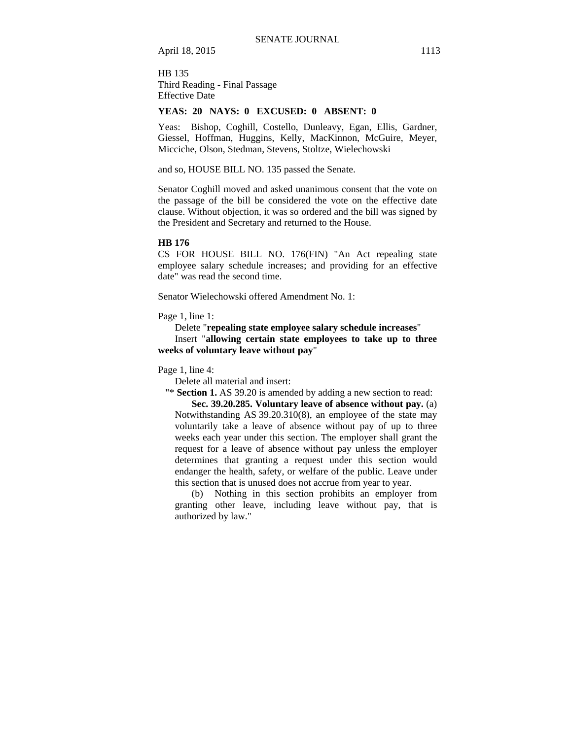HB 135 Third Reading - Final Passage Effective Date

## **YEAS: 20 NAYS: 0 EXCUSED: 0 ABSENT: 0**

Yeas: Bishop, Coghill, Costello, Dunleavy, Egan, Ellis, Gardner, Giessel, Hoffman, Huggins, Kelly, MacKinnon, McGuire, Meyer, Micciche, Olson, Stedman, Stevens, Stoltze, Wielechowski

and so, HOUSE BILL NO. 135 passed the Senate.

Senator Coghill moved and asked unanimous consent that the vote on the passage of the bill be considered the vote on the effective date clause. Without objection, it was so ordered and the bill was signed by the President and Secretary and returned to the House.

#### **HB 176**

CS FOR HOUSE BILL NO. 176(FIN) "An Act repealing state employee salary schedule increases; and providing for an effective date" was read the second time.

Senator Wielechowski offered Amendment No. 1:

Page 1, line 1:

Delete "**repealing state employee salary schedule increases**"

Insert "**allowing certain state employees to take up to three weeks of voluntary leave without pay**"

Page 1, line 4:

Delete all material and insert:

"\* **Section 1.** AS 39.20 is amended by adding a new section to read:

**Sec. 39.20.285. Voluntary leave of absence without pay.** (a) Notwithstanding AS 39.20.310(8), an employee of the state may voluntarily take a leave of absence without pay of up to three weeks each year under this section. The employer shall grant the request for a leave of absence without pay unless the employer determines that granting a request under this section would endanger the health, safety, or welfare of the public. Leave under this section that is unused does not accrue from year to year.

(b) Nothing in this section prohibits an employer from granting other leave, including leave without pay, that is authorized by law."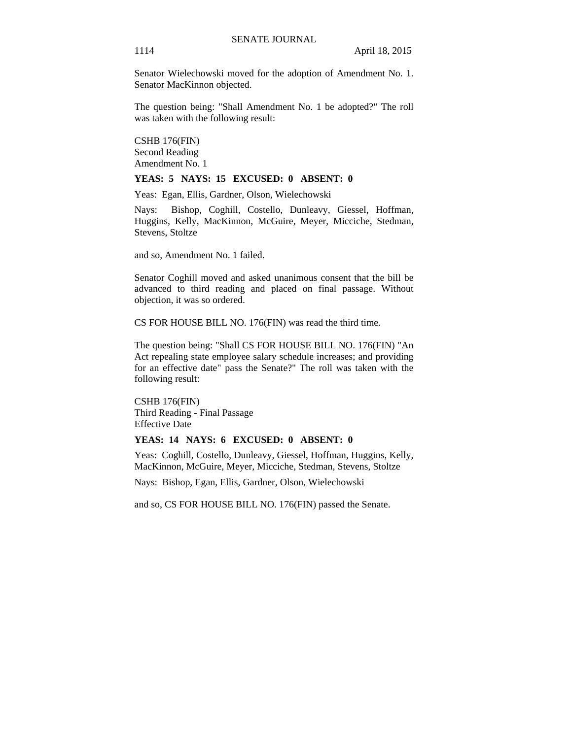Senator Wielechowski moved for the adoption of Amendment No. 1. Senator MacKinnon objected.

The question being: "Shall Amendment No. 1 be adopted?" The roll was taken with the following result:

CSHB 176(FIN) Second Reading Amendment No. 1

## **YEAS: 5 NAYS: 15 EXCUSED: 0 ABSENT: 0**

Yeas: Egan, Ellis, Gardner, Olson, Wielechowski

Nays: Bishop, Coghill, Costello, Dunleavy, Giessel, Hoffman, Huggins, Kelly, MacKinnon, McGuire, Meyer, Micciche, Stedman, Stevens, Stoltze

and so, Amendment No. 1 failed.

Senator Coghill moved and asked unanimous consent that the bill be advanced to third reading and placed on final passage. Without objection, it was so ordered.

CS FOR HOUSE BILL NO. 176(FIN) was read the third time.

The question being: "Shall CS FOR HOUSE BILL NO. 176(FIN) "An Act repealing state employee salary schedule increases; and providing for an effective date" pass the Senate?" The roll was taken with the following result:

CSHB 176(FIN) Third Reading - Final Passage Effective Date

## **YEAS: 14 NAYS: 6 EXCUSED: 0 ABSENT: 0**

Yeas: Coghill, Costello, Dunleavy, Giessel, Hoffman, Huggins, Kelly, MacKinnon, McGuire, Meyer, Micciche, Stedman, Stevens, Stoltze

Nays: Bishop, Egan, Ellis, Gardner, Olson, Wielechowski

and so, CS FOR HOUSE BILL NO. 176(FIN) passed the Senate.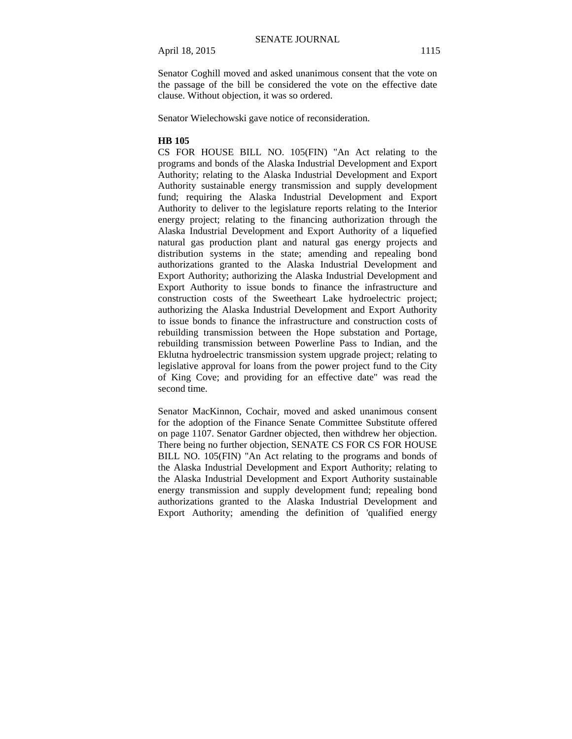Senator Coghill moved and asked unanimous consent that the vote on the passage of the bill be considered the vote on the effective date clause. Without objection, it was so ordered.

Senator Wielechowski gave notice of reconsideration.

## **HB 105**

CS FOR HOUSE BILL NO. 105(FIN) "An Act relating to the programs and bonds of the Alaska Industrial Development and Export Authority; relating to the Alaska Industrial Development and Export Authority sustainable energy transmission and supply development fund; requiring the Alaska Industrial Development and Export Authority to deliver to the legislature reports relating to the Interior energy project; relating to the financing authorization through the Alaska Industrial Development and Export Authority of a liquefied natural gas production plant and natural gas energy projects and distribution systems in the state; amending and repealing bond authorizations granted to the Alaska Industrial Development and Export Authority; authorizing the Alaska Industrial Development and Export Authority to issue bonds to finance the infrastructure and construction costs of the Sweetheart Lake hydroelectric project; authorizing the Alaska Industrial Development and Export Authority to issue bonds to finance the infrastructure and construction costs of rebuilding transmission between the Hope substation and Portage, rebuilding transmission between Powerline Pass to Indian, and the Eklutna hydroelectric transmission system upgrade project; relating to legislative approval for loans from the power project fund to the City of King Cove; and providing for an effective date" was read the second time.

Senator MacKinnon, Cochair, moved and asked unanimous consent for the adoption of the Finance Senate Committee Substitute offered on page 1107. Senator Gardner objected, then withdrew her objection. There being no further objection, SENATE CS FOR CS FOR HOUSE BILL NO. 105(FIN) "An Act relating to the programs and bonds of the Alaska Industrial Development and Export Authority; relating to the Alaska Industrial Development and Export Authority sustainable energy transmission and supply development fund; repealing bond authorizations granted to the Alaska Industrial Development and Export Authority; amending the definition of 'qualified energy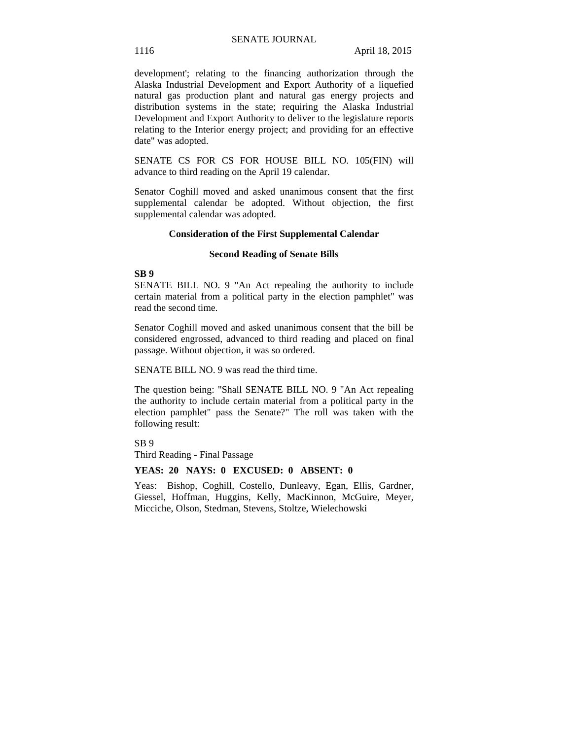development'; relating to the financing authorization through the Alaska Industrial Development and Export Authority of a liquefied natural gas production plant and natural gas energy projects and distribution systems in the state; requiring the Alaska Industrial Development and Export Authority to deliver to the legislature reports relating to the Interior energy project; and providing for an effective date" was adopted.

SENATE CS FOR CS FOR HOUSE BILL NO. 105(FIN) will advance to third reading on the April 19 calendar.

Senator Coghill moved and asked unanimous consent that the first supplemental calendar be adopted. Without objection, the first supplemental calendar was adopted.

#### **Consideration of the First Supplemental Calendar**

## **Second Reading of Senate Bills**

## **SB 9**

SENATE BILL NO. 9 "An Act repealing the authority to include certain material from a political party in the election pamphlet" was read the second time.

Senator Coghill moved and asked unanimous consent that the bill be considered engrossed, advanced to third reading and placed on final passage. Without objection, it was so ordered.

SENATE BILL NO. 9 was read the third time.

The question being: "Shall SENATE BILL NO. 9 "An Act repealing the authority to include certain material from a political party in the election pamphlet" pass the Senate?" The roll was taken with the following result:

SB 9

Third Reading - Final Passage

#### **YEAS: 20 NAYS: 0 EXCUSED: 0 ABSENT: 0**

Yeas: Bishop, Coghill, Costello, Dunleavy, Egan, Ellis, Gardner, Giessel, Hoffman, Huggins, Kelly, MacKinnon, McGuire, Meyer, Micciche, Olson, Stedman, Stevens, Stoltze, Wielechowski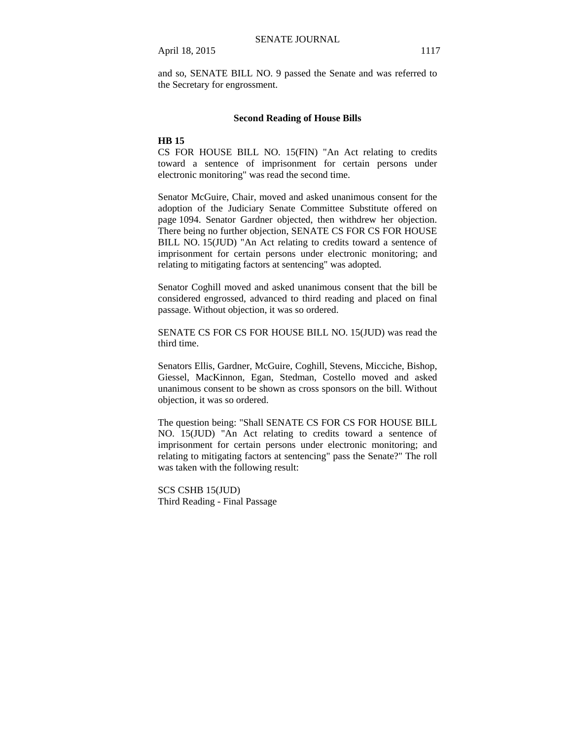and so, SENATE BILL NO. 9 passed the Senate and was referred to the Secretary for engrossment.

### **Second Reading of House Bills**

## **HB 15**

CS FOR HOUSE BILL NO. 15(FIN) "An Act relating to credits toward a sentence of imprisonment for certain persons under electronic monitoring" was read the second time.

Senator McGuire, Chair, moved and asked unanimous consent for the adoption of the Judiciary Senate Committee Substitute offered on page 1094. Senator Gardner objected, then withdrew her objection. There being no further objection, SENATE CS FOR CS FOR HOUSE BILL NO. 15(JUD) "An Act relating to credits toward a sentence of imprisonment for certain persons under electronic monitoring; and relating to mitigating factors at sentencing" was adopted.

Senator Coghill moved and asked unanimous consent that the bill be considered engrossed, advanced to third reading and placed on final passage. Without objection, it was so ordered.

SENATE CS FOR CS FOR HOUSE BILL NO. 15(JUD) was read the third time.

Senators Ellis, Gardner, McGuire, Coghill, Stevens, Micciche, Bishop, Giessel, MacKinnon, Egan, Stedman, Costello moved and asked unanimous consent to be shown as cross sponsors on the bill. Without objection, it was so ordered.

The question being: "Shall SENATE CS FOR CS FOR HOUSE BILL NO. 15(JUD) "An Act relating to credits toward a sentence of imprisonment for certain persons under electronic monitoring; and relating to mitigating factors at sentencing" pass the Senate?" The roll was taken with the following result:

SCS CSHB 15(JUD) Third Reading - Final Passage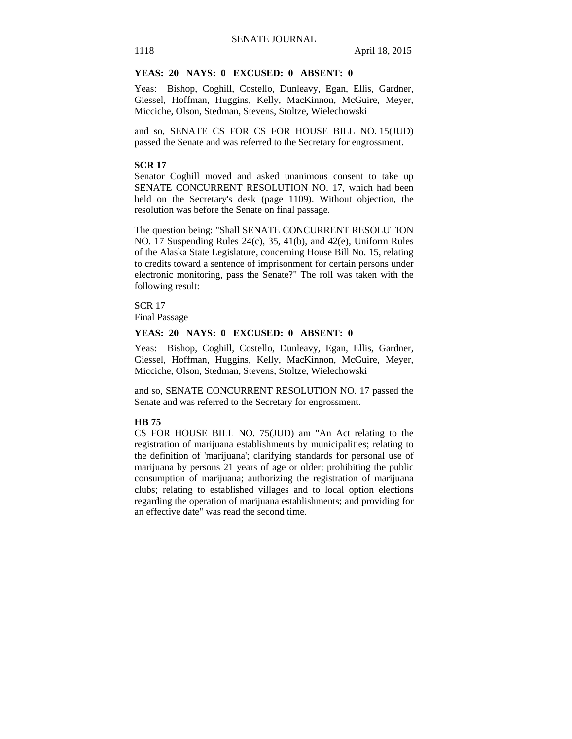## **YEAS: 20 NAYS: 0 EXCUSED: 0 ABSENT: 0**

Yeas: Bishop, Coghill, Costello, Dunleavy, Egan, Ellis, Gardner, Giessel, Hoffman, Huggins, Kelly, MacKinnon, McGuire, Meyer, Micciche, Olson, Stedman, Stevens, Stoltze, Wielechowski

and so, SENATE CS FOR CS FOR HOUSE BILL NO. 15(JUD) passed the Senate and was referred to the Secretary for engrossment.

## **SCR 17**

Senator Coghill moved and asked unanimous consent to take up SENATE CONCURRENT RESOLUTION NO. 17, which had been held on the Secretary's desk (page 1109). Without objection, the resolution was before the Senate on final passage.

The question being: "Shall SENATE CONCURRENT RESOLUTION NO. 17 Suspending Rules 24(c), 35, 41(b), and 42(e), Uniform Rules of the Alaska State Legislature, concerning House Bill No. 15, relating to credits toward a sentence of imprisonment for certain persons under electronic monitoring, pass the Senate?" The roll was taken with the following result:

SCR 17 Final Passage

## **YEAS: 20 NAYS: 0 EXCUSED: 0 ABSENT: 0**

Yeas: Bishop, Coghill, Costello, Dunleavy, Egan, Ellis, Gardner, Giessel, Hoffman, Huggins, Kelly, MacKinnon, McGuire, Meyer, Micciche, Olson, Stedman, Stevens, Stoltze, Wielechowski

and so, SENATE CONCURRENT RESOLUTION NO. 17 passed the Senate and was referred to the Secretary for engrossment.

## **HB 75**

CS FOR HOUSE BILL NO. 75(JUD) am "An Act relating to the registration of marijuana establishments by municipalities; relating to the definition of 'marijuana'; clarifying standards for personal use of marijuana by persons 21 years of age or older; prohibiting the public consumption of marijuana; authorizing the registration of marijuana clubs; relating to established villages and to local option elections regarding the operation of marijuana establishments; and providing for an effective date" was read the second time.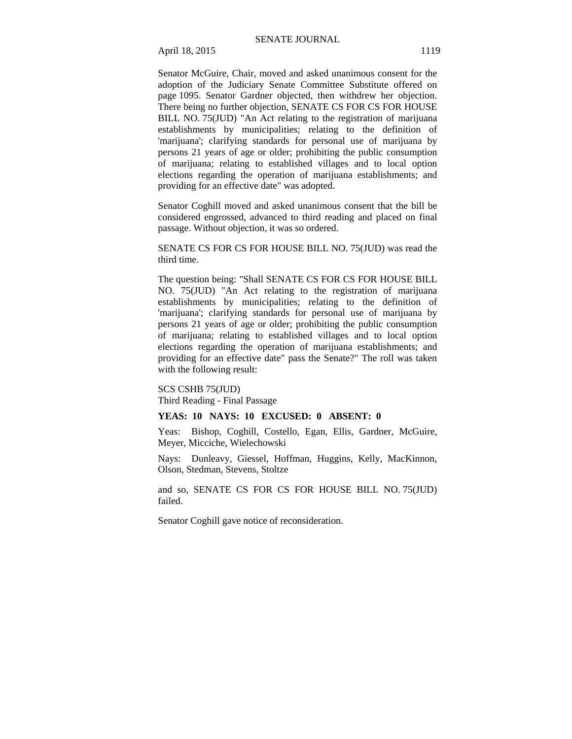Senator McGuire, Chair, moved and asked unanimous consent for the adoption of the Judiciary Senate Committee Substitute offered on page 1095. Senator Gardner objected, then withdrew her objection. There being no further objection, SENATE CS FOR CS FOR HOUSE BILL NO. 75(JUD) "An Act relating to the registration of marijuana establishments by municipalities; relating to the definition of 'marijuana'; clarifying standards for personal use of marijuana by persons 21 years of age or older; prohibiting the public consumption of marijuana; relating to established villages and to local option elections regarding the operation of marijuana establishments; and providing for an effective date" was adopted.

Senator Coghill moved and asked unanimous consent that the bill be considered engrossed, advanced to third reading and placed on final passage. Without objection, it was so ordered.

SENATE CS FOR CS FOR HOUSE BILL NO. 75(JUD) was read the third time.

The question being: "Shall SENATE CS FOR CS FOR HOUSE BILL NO. 75(JUD) "An Act relating to the registration of marijuana establishments by municipalities; relating to the definition of 'marijuana'; clarifying standards for personal use of marijuana by persons 21 years of age or older; prohibiting the public consumption of marijuana; relating to established villages and to local option elections regarding the operation of marijuana establishments; and providing for an effective date" pass the Senate?" The roll was taken with the following result:

SCS CSHB 75(JUD)

Third Reading - Final Passage

## **YEAS: 10 NAYS: 10 EXCUSED: 0 ABSENT: 0**

Yeas: Bishop, Coghill, Costello, Egan, Ellis, Gardner, McGuire, Meyer, Micciche, Wielechowski

Nays: Dunleavy, Giessel, Hoffman, Huggins, Kelly, MacKinnon, Olson, Stedman, Stevens, Stoltze

and so, SENATE CS FOR CS FOR HOUSE BILL NO. 75(JUD) failed.

Senator Coghill gave notice of reconsideration.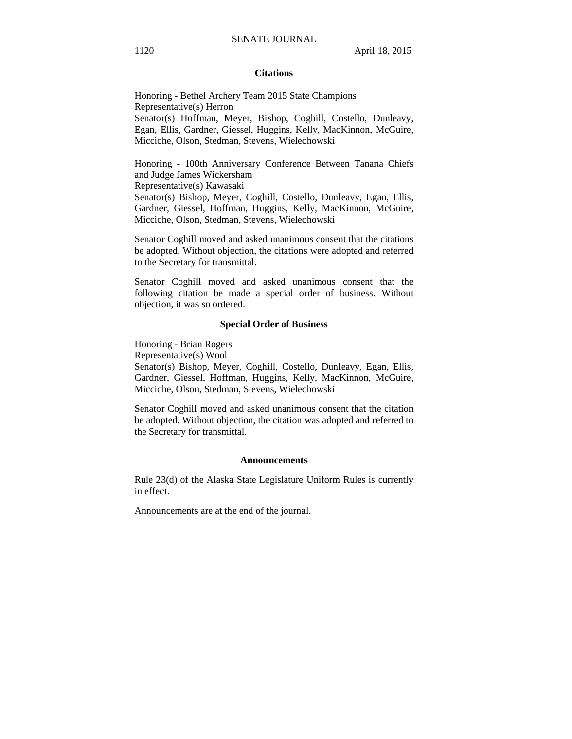## **Citations**

Honoring - Bethel Archery Team 2015 State Champions Representative(s) Herron Senator(s) Hoffman, Meyer, Bishop, Coghill, Costello, Dunleavy, Egan, Ellis, Gardner, Giessel, Huggins, Kelly, MacKinnon, McGuire, Micciche, Olson, Stedman, Stevens, Wielechowski

Honoring - 100th Anniversary Conference Between Tanana Chiefs and Judge James Wickersham

Representative(s) Kawasaki

Senator(s) Bishop, Meyer, Coghill, Costello, Dunleavy, Egan, Ellis, Gardner, Giessel, Hoffman, Huggins, Kelly, MacKinnon, McGuire, Micciche, Olson, Stedman, Stevens, Wielechowski

Senator Coghill moved and asked unanimous consent that the citations be adopted. Without objection, the citations were adopted and referred to the Secretary for transmittal.

Senator Coghill moved and asked unanimous consent that the following citation be made a special order of business. Without objection, it was so ordered.

#### **Special Order of Business**

Honoring - Brian Rogers

Representative(s) Wool

Senator(s) Bishop, Meyer, Coghill, Costello, Dunleavy, Egan, Ellis, Gardner, Giessel, Hoffman, Huggins, Kelly, MacKinnon, McGuire, Micciche, Olson, Stedman, Stevens, Wielechowski

Senator Coghill moved and asked unanimous consent that the citation be adopted. Without objection, the citation was adopted and referred to the Secretary for transmittal.

#### **Announcements**

Rule 23(d) of the Alaska State Legislature Uniform Rules is currently in effect.

Announcements are at the end of the journal.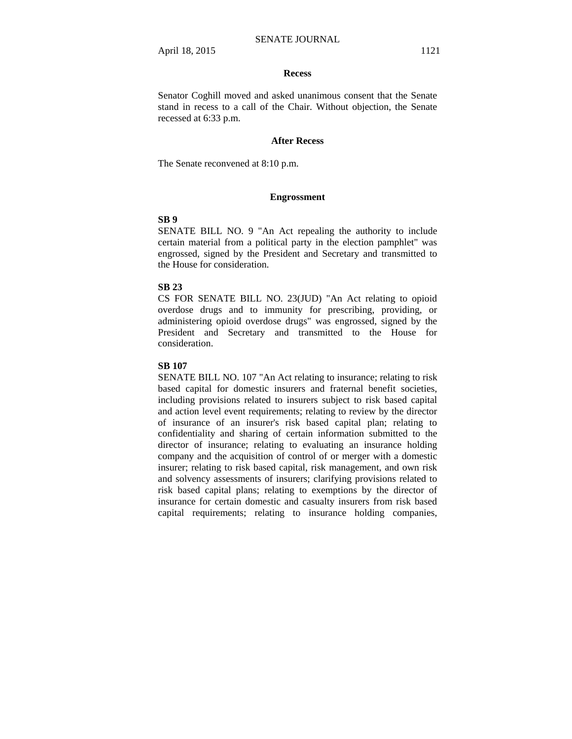#### **Recess**

Senator Coghill moved and asked unanimous consent that the Senate stand in recess to a call of the Chair. Without objection, the Senate recessed at 6:33 p.m.

## **After Recess**

The Senate reconvened at 8:10 p.m.

## **Engrossment**

## **SB 9**

SENATE BILL NO. 9 "An Act repealing the authority to include certain material from a political party in the election pamphlet" was engrossed, signed by the President and Secretary and transmitted to the House for consideration.

## **SB 23**

CS FOR SENATE BILL NO. 23(JUD) "An Act relating to opioid overdose drugs and to immunity for prescribing, providing, or administering opioid overdose drugs" was engrossed, signed by the President and Secretary and transmitted to the House for consideration.

## **SB 107**

SENATE BILL NO. 107 "An Act relating to insurance; relating to risk based capital for domestic insurers and fraternal benefit societies, including provisions related to insurers subject to risk based capital and action level event requirements; relating to review by the director of insurance of an insurer's risk based capital plan; relating to confidentiality and sharing of certain information submitted to the director of insurance; relating to evaluating an insurance holding company and the acquisition of control of or merger with a domestic insurer; relating to risk based capital, risk management, and own risk and solvency assessments of insurers; clarifying provisions related to risk based capital plans; relating to exemptions by the director of insurance for certain domestic and casualty insurers from risk based capital requirements; relating to insurance holding companies,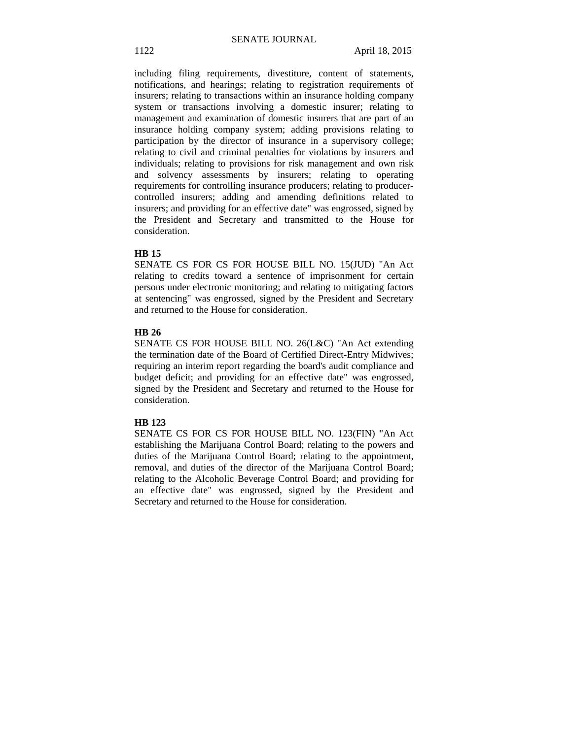including filing requirements, divestiture, content of statements, notifications, and hearings; relating to registration requirements of insurers; relating to transactions within an insurance holding company system or transactions involving a domestic insurer; relating to management and examination of domestic insurers that are part of an insurance holding company system; adding provisions relating to participation by the director of insurance in a supervisory college; relating to civil and criminal penalties for violations by insurers and individuals; relating to provisions for risk management and own risk and solvency assessments by insurers; relating to operating requirements for controlling insurance producers; relating to producercontrolled insurers; adding and amending definitions related to insurers; and providing for an effective date" was engrossed, signed by the President and Secretary and transmitted to the House for consideration.

## **HB 15**

SENATE CS FOR CS FOR HOUSE BILL NO. 15(JUD) "An Act relating to credits toward a sentence of imprisonment for certain persons under electronic monitoring; and relating to mitigating factors at sentencing" was engrossed, signed by the President and Secretary and returned to the House for consideration.

## **HB 26**

SENATE CS FOR HOUSE BILL NO. 26(L&C) "An Act extending the termination date of the Board of Certified Direct-Entry Midwives; requiring an interim report regarding the board's audit compliance and budget deficit; and providing for an effective date" was engrossed, signed by the President and Secretary and returned to the House for consideration.

## **HB 123**

SENATE CS FOR CS FOR HOUSE BILL NO. 123(FIN) "An Act establishing the Marijuana Control Board; relating to the powers and duties of the Marijuana Control Board; relating to the appointment, removal, and duties of the director of the Marijuana Control Board; relating to the Alcoholic Beverage Control Board; and providing for an effective date" was engrossed, signed by the President and Secretary and returned to the House for consideration.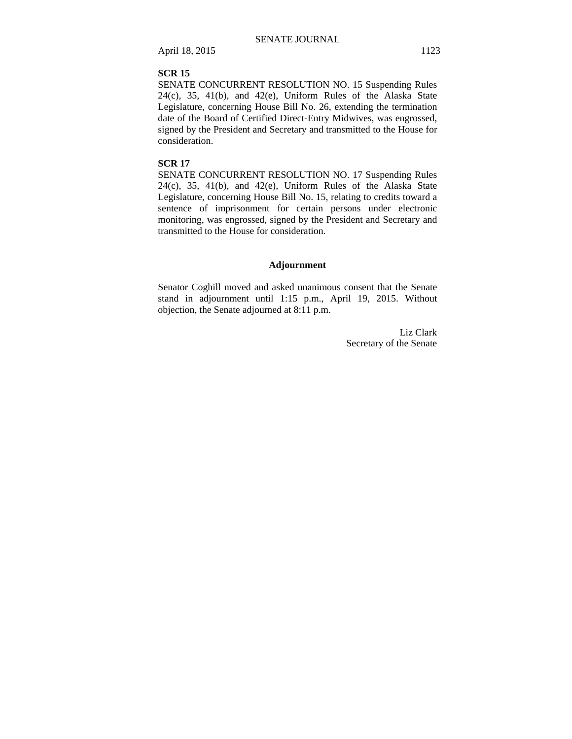## **SCR 15**

SENATE CONCURRENT RESOLUTION NO. 15 Suspending Rules  $24(c)$ ,  $35$ ,  $41(b)$ , and  $42(e)$ , Uniform Rules of the Alaska State Legislature, concerning House Bill No. 26, extending the termination date of the Board of Certified Direct-Entry Midwives, was engrossed, signed by the President and Secretary and transmitted to the House for consideration.

## **SCR 17**

SENATE CONCURRENT RESOLUTION NO. 17 Suspending Rules 24(c), 35, 41(b), and 42(e), Uniform Rules of the Alaska State Legislature, concerning House Bill No. 15, relating to credits toward a sentence of imprisonment for certain persons under electronic monitoring, was engrossed, signed by the President and Secretary and transmitted to the House for consideration.

## **Adjournment**

Senator Coghill moved and asked unanimous consent that the Senate stand in adjournment until 1:15 p.m., April 19, 2015. Without objection, the Senate adjourned at 8:11 p.m.

> Liz Clark Secretary of the Senate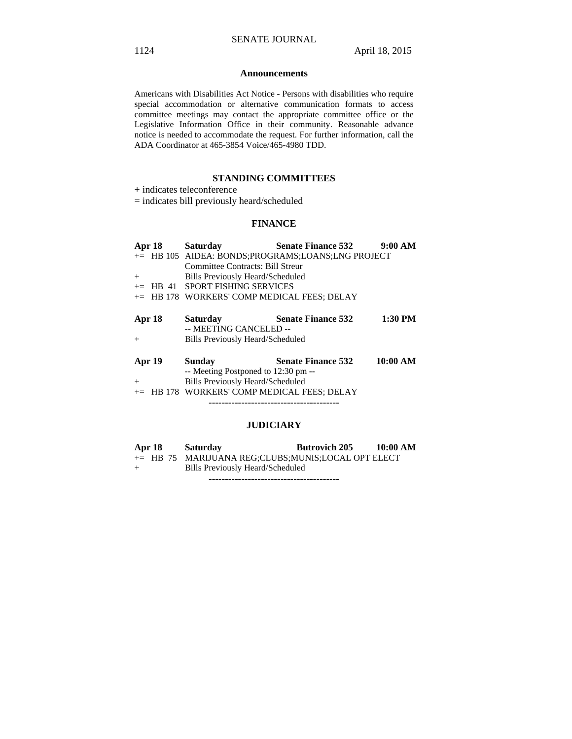## **Announcements**

Americans with Disabilities Act Notice - Persons with disabilities who require special accommodation or alternative communication formats to access committee meetings may contact the appropriate committee office or the Legislative Information Office in their community. Reasonable advance notice is needed to accommodate the request. For further information, call the ADA Coordinator at 465-3854 Voice/465-4980 TDD.

## **STANDING COMMITTEES**

+ indicates teleconference

= indicates bill previously heard/scheduled

## **FINANCE**

| Apr 18<br>$+$    | <b>Saturday</b><br>Committee Contracts: Bill Streur<br><b>Bills Previously Heard/Scheduled</b><br>$+=$ HB 41 SPORT FISHING SERVICES<br>+= HB 178 WORKERS' COMP MEDICAL FEES; DELAY | <b>Senate Finance 532</b><br>+= HB 105 AIDEA: BONDS:PROGRAMS:LOANS:LNG PROJECT | 9:00 AM   |
|------------------|------------------------------------------------------------------------------------------------------------------------------------------------------------------------------------|--------------------------------------------------------------------------------|-----------|
| Apr 18<br>$^{+}$ | <b>Saturday</b><br>-- MEETING CANCELED --<br><b>Bills Previously Heard/Scheduled</b>                                                                                               | <b>Senate Finance 532</b>                                                      | $1:30$ PM |
| Apr 19<br>$+$    | Sunday<br>-- Meeting Postponed to 12:30 pm --<br><b>Bills Previously Heard/Scheduled</b><br>HB 178 WORKERS' COMP MEDICAL FEES; DELAY                                               | <b>Senate Finance 532</b>                                                      | 10:00 AM  |

## **JUDICIARY**

| Apr 18 | <b>Saturday</b>                                    | <b>Butrovich 205</b> | 10:00 AM |
|--------|----------------------------------------------------|----------------------|----------|
|        | += HB 75 MARIJUANA REG;CLUBS;MUNIS;LOCAL OPT ELECT |                      |          |
| $+$    | Bills Previously Heard/Scheduled                   |                      |          |
|        |                                                    |                      |          |